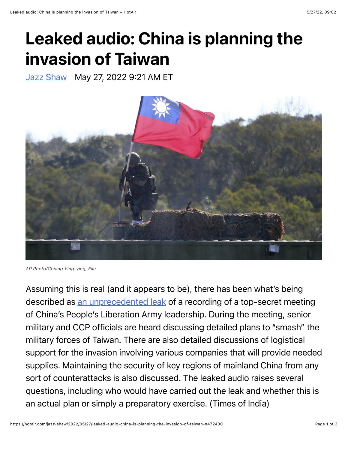## Leaked audio: China is planning the invasion of Taiwan

[Jazz Shaw](https://hotair.com/author/jazz-shaw) May 27, 2022 9:21 AM ET



*AP Photo/Chiang Ying-ying, File*

Assuming this is real (and it appears to be), there has been what's being described as [an unprecedented leak](https://timesofindia.indiatimes.com/world/china/explosive-audio-leak-details-chinas-plan-to-invade-taiwan/articleshow/91740273.cms) of a recording of a top-secret meeting of China's People's Liberation Army leadership. During the meeting, senior military and CCP officials are heard discussing detailed plans to "smash" the military forces of Taiwan. There are also detailed discussions of logistical support for the invasion involving various companies that will provide needed supplies. Maintaining the security of key regions of mainland China from any sort of counterattacks is also discussed. The leaked audio raises several questions, including who would have carried out the leak and whether this is an actual plan or simply a preparatory exercise. (Times of India)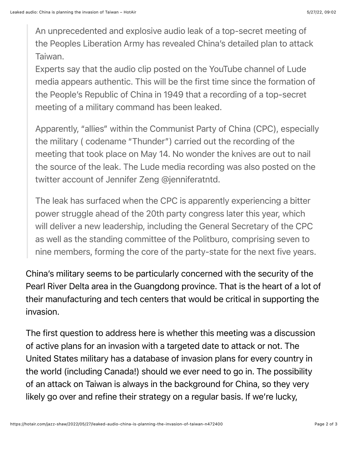An unprecedented and explosive audio leak of a top-secret meeting of the Peoples Liberation Army has revealed China's detailed plan to attack Taiwan.

Experts say that the audio clip posted on the YouTube channel of Lude media appears authentic. This will be the first time since the formation of the People's Republic of China in 1949 that a recording of a top-secret meeting of a military command has been leaked.

Apparently, "allies" within the Communist Party of China (CPC), especially the military ( codename "Thunder") carried out the recording of the meeting that took place on May 14. No wonder the knives are out to nail the source of the leak. The Lude media recording was also posted on the twitter account of Jennifer Zeng @jenniferatntd.

The leak has surfaced when the CPC is apparently experiencing a bitter power struggle ahead of the 20th party congress later this year, which will deliver a new leadership, including the General Secretary of the CPC as well as the standing committee of the Politburo, comprising seven to nine members, forming the core of the party-state for the next five years.

China's military seems to be particularly concerned with the security of the Pearl River Delta area in the Guangdong province. That is the heart of a lot of their manufacturing and tech centers that would be critical in supporting the invasion.

The first question to address here is whether this meeting was a discussion of active plans for an invasion with a targeted date to attack or not. The United States military has a database of invasion plans for every country in the world (including Canada!) should we ever need to go in. The possibility of an attack on Taiwan is always in the background for China, so they very likely go over and refine their strategy on a regular basis. If we're lucky,